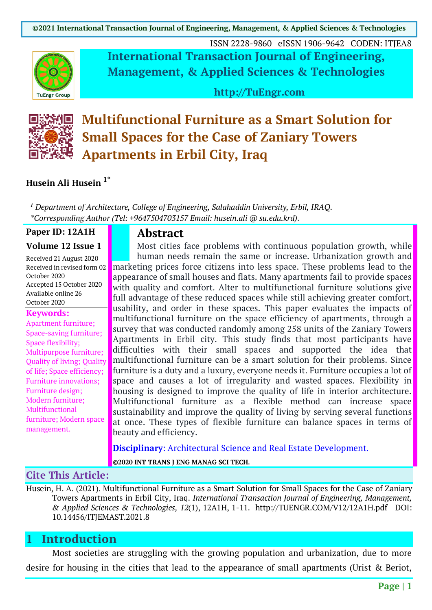

ISSN 2228-9860 eISSN 1906-9642 CODEN: ITJEA8 **International Transaction Journal of Engineering, Management, & Applied Sciences & Technologies**

**http://TuEngr.com**



**Multifunctional Furniture as a Smart Solution for Small Spaces for the Case of Zaniary Towers Apartments in Erbil City, Iraq**

#### **Husein Ali Husein 1\***

*<sup>1</sup> Department of Architecture, College of Engineering, Salahaddin University, Erbil, IRAQ. \*Corresponding Author (Tel: +9647504703157 Email: husein.ali @ su.edu.krd)*.

#### **Paper ID: 12A1H**

#### **Volume 12 Issue 1**

Received 21 August 2020 Received in revised form 02 October 2020 Accepted 15 October 2020 Available online 26 October 2020

#### **Keywords:**

Apartment furniture; Space-saving furniture; Space flexibility; Multipurpose furniture; Quality of living; Quality of life; Space efficiency; Furniture innovations; Furniture design; Modern furniture; Multifunctional furniture; Modern space management.

#### **Abstract**

Most cities face problems with continuous population growth, while human needs remain the same or increase. Urbanization growth and marketing prices force citizens into less space. These problems lead to the appearance of small houses and flats. Many apartments fail to provide spaces with quality and comfort. Alter to multifunctional furniture solutions give full advantage of these reduced spaces while still achieving greater comfort, usability, and order in these spaces. This paper evaluates the impacts of multifunctional furniture on the space efficiency of apartments, through a survey that was conducted randomly among 258 units of the Zaniary Towers Apartments in Erbil city. This study finds that most participants have difficulties with their small spaces and supported the idea that multifunctional furniture can be a smart solution for their problems. Since furniture is a duty and a luxury, everyone needs it. Furniture occupies a lot of space and causes a lot of irregularity and wasted spaces. Flexibility in housing is designed to improve the quality of life in interior architecture. Multifunctional furniture as a flexible method can increase space sustainability and improve the quality of living by serving several functions at once. These types of flexible furniture can balance spaces in terms of beauty and efficiency.

**Disciplinary**: Architectural Science and Real Estate Development.

**©2020 INT TRANS J ENG MANAG SCI TECH.**

#### **Cite This Article:**

Husein, H. A. (2021). Multifunctional Furniture as a Smart Solution for Small Spaces for the Case of Zaniary Towers Apartments in Erbil City, Iraq. *International Transaction Journal of Engineering, Management, & Applied Sciences & Technologies, 12*(1), 12A1H, 1-11. http://TUENGR.COM/V12/12A1H.pdf DOI: 10.14456/ITJEMAST.2021.8

#### **1 Introduction**

Most societies are struggling with the growing population and urbanization, due to more desire for housing in the cities that lead to the appearance of small apartments (Urist & Beriot,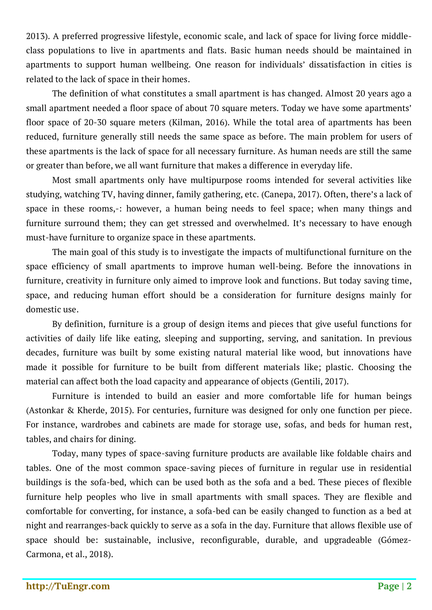2013). A preferred progressive lifestyle, economic scale, and lack of space for living force middleclass populations to live in apartments and flats. Basic human needs should be maintained in apartments to support human wellbeing. One reason for individuals' dissatisfaction in cities is related to the lack of space in their homes.

The definition of what constitutes a small apartment is has changed. Almost 20 years ago a small apartment needed a floor space of about 70 square meters. Today we have some apartments' floor space of 20-30 square meters (Kilman, 2016). While the total area of apartments has been reduced, furniture generally still needs the same space as before. The main problem for users of these apartments is the lack of space for all necessary furniture. As human needs are still the same or greater than before, we all want furniture that makes a difference in everyday life.

Most small apartments only have multipurpose rooms intended for several activities like studying, watching TV, having dinner, family gathering, etc. (Canepa, 2017). Often, there's a lack of space in these rooms,-: however, a human being needs to feel space; when many things and furniture surround them; they can get stressed and overwhelmed. It's necessary to have enough must-have furniture to organize space in these apartments.

The main goal of this study is to investigate the impacts of multifunctional furniture on the space efficiency of small apartments to improve human well-being. Before the innovations in furniture, creativity in furniture only aimed to improve look and functions. But today saving time, space, and reducing human effort should be a consideration for furniture designs mainly for domestic use.

By definition, furniture is a group of design items and pieces that give useful functions for activities of daily life like eating, sleeping and supporting, serving, and sanitation. In previous decades, furniture was built by some existing natural material like wood, but innovations have made it possible for furniture to be built from different materials like; plastic. Choosing the material can affect both the load capacity and appearance of objects (Gentili, 2017).

Furniture is intended to build an easier and more comfortable life for human beings (Astonkar & Kherde, 2015). For centuries, furniture was designed for only one function per piece. For instance, wardrobes and cabinets are made for storage use, sofas, and beds for human rest, tables, and chairs for dining.

Today, many types of space-saving furniture products are available like foldable chairs and tables. One of the most common space-saving pieces of furniture in regular use in residential buildings is the sofa-bed, which can be used both as the sofa and a bed. These pieces of flexible furniture help peoples who live in small apartments with small spaces. They are flexible and comfortable for converting, for instance, a sofa-bed can be easily changed to function as a bed at night and rearranges-back quickly to serve as a sofa in the day. Furniture that allows flexible use of space should be: sustainable, inclusive, reconfigurable, durable, and upgradeable (Gómez-Carmona, et al., 2018).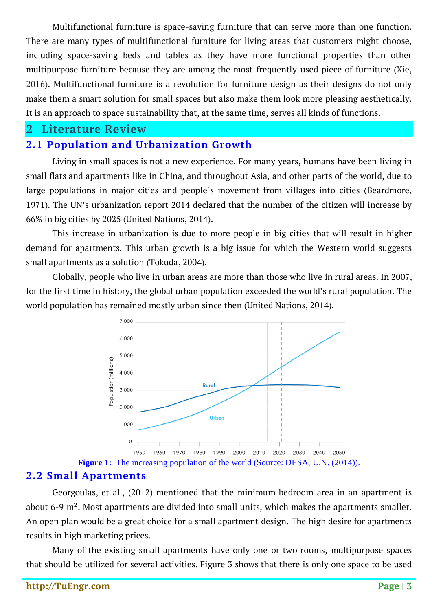Multifunctional furniture is space-saving furniture that can serve more than one function. There are many types of multifunctional furniture for living areas that customers might choose, including space-saving beds and tables as they have more functional properties than other multipurpose furniture because they are among the most-frequently-used piece of furniture (Xie, 2016). Multifunctional furniture is a revolution for furniture design as their designs do not only make them a smart solution for small spaces but also make them look more pleasing aesthetically. It is an approach to space sustainability that, at the same time, serves all kinds of functions.

#### **2 Literature Review**

### **2.1 Population and Urbanization Growth**

Living in small spaces is not a new experience. For many years, humans have been living in small flats and apartments like in China, and throughout Asia, and other parts of the world, due to large populations in major cities and people`s movement from villages into cities (Beardmore, 1971). The UN's urbanization report 2014 declared that the number of the citizen will increase by 66% in big cities by 2025 (United Nations, 2014).

This increase in urbanization is due to more people in big cities that will result in higher demand for apartments. This urban growth is a big issue for which the Western world suggests small apartments as a solution (Tokuda, 2004).

Globally, people who live in urban areas are more than those who live in rural areas. In 2007, for the first time in history, the global urban population exceeded the world's rural population. The world population has remained mostly urban since then (United Nations, 2014).



**Figure 1:** The increasing population of the world (Source: DESA, U.N. (2014)).

### **2.2 Small Apartments**

Georgoulas, et al., (2012) mentioned that the minimum bedroom area in an apartment is about 6-9 m². Most apartments are divided into small units, which makes the apartments smaller. An open plan would be a great choice for a small apartment design. The high desire for apartments results in high marketing prices.

Many of the existing small apartments have only one or two rooms, multipurpose spaces that should be utilized for several activities. Figure 3 shows that there is only one space to be used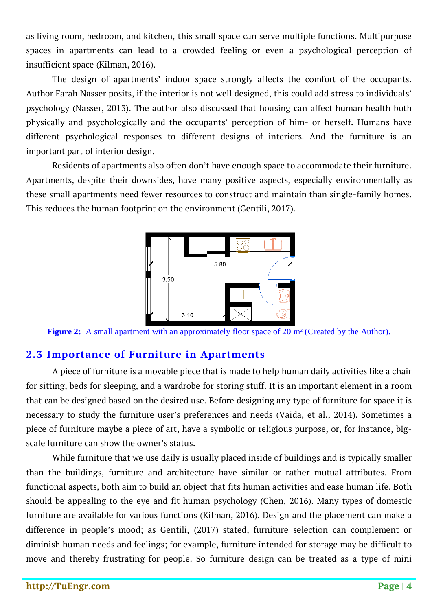as living room, bedroom, and kitchen, this small space can serve multiple functions. Multipurpose spaces in apartments can lead to a crowded feeling or even a psychological perception of insufficient space (Kilman, 2016).

The design of apartments' indoor space strongly affects the comfort of the occupants. Author Farah Nasser posits, if the interior is not well designed, this could add stress to individuals' psychology (Nasser, 2013). The author also discussed that housing can affect human health both physically and psychologically and the occupants' perception of him- or herself. Humans have different psychological responses to different designs of interiors. And the furniture is an important part of interior design.

Residents of apartments also often don't have enough space to accommodate their furniture. Apartments, despite their downsides, have many positive aspects, especially environmentally as these small apartments need fewer resources to construct and maintain than single-family homes. This reduces the human footprint on the environment (Gentili, 2017).



**Figure 2:** A small apartment with an approximately floor space of 20 m² (Created by the Author).

## **2.3 Importance of Furniture in Apartments**

A piece of furniture is a movable piece that is made to help human daily activities like a chair for sitting, beds for sleeping, and a wardrobe for storing stuff. It is an important element in a room that can be designed based on the desired use. Before designing any type of furniture for space it is necessary to study the furniture user's preferences and needs (Vaida, et al., 2014). Sometimes a piece of furniture maybe a piece of art, have a symbolic or religious purpose, or, for instance, bigscale furniture can show the owner's status.

While furniture that we use daily is usually placed inside of buildings and is typically smaller than the buildings, furniture and architecture have similar or rather mutual attributes. From functional aspects, both aim to build an object that fits human activities and ease human life. Both should be appealing to the eye and fit human psychology (Chen, 2016). Many types of domestic furniture are available for various functions (Kilman, 2016). Design and the placement can make a difference in people's mood; as Gentili, (2017) stated, furniture selection can complement or diminish human needs and feelings; for example, furniture intended for storage may be difficult to move and thereby frustrating for people. So furniture design can be treated as a type of mini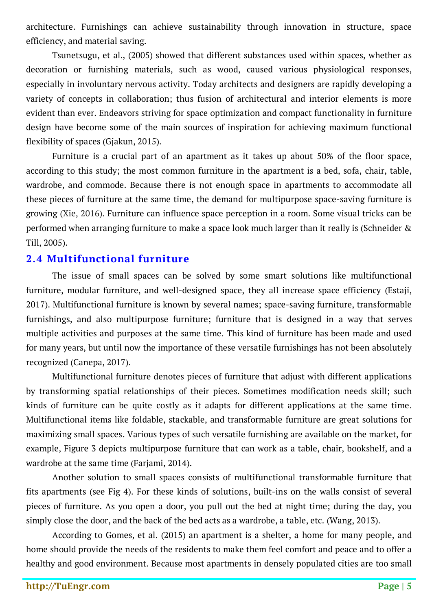architecture. Furnishings can achieve sustainability through innovation in structure, space efficiency, and material saving.

Tsunetsugu, et al., (2005) showed that different substances used within spaces, whether as decoration or furnishing materials, such as wood, caused various physiological responses, especially in involuntary nervous activity. Today architects and designers are rapidly developing a variety of concepts in collaboration; thus fusion of architectural and interior elements is more evident than ever. Endeavors striving for space optimization and compact functionality in furniture design have become some of the main sources of inspiration for achieving maximum functional flexibility of spaces (Gjakun, 2015).

Furniture is a crucial part of an apartment as it takes up about 50% of the floor space, according to this study; the most common furniture in the apartment is a bed, sofa, chair, table, wardrobe, and commode. Because there is not enough space in apartments to accommodate all these pieces of furniture at the same time, the demand for multipurpose space-saving furniture is growing (Xie, 2016). Furniture can influence space perception in a room. Some visual tricks can be performed when arranging furniture to make a space look much larger than it really is (Schneider & Till, 2005).

#### **2.4 Multifunctional furniture**

The issue of small spaces can be solved by some smart solutions like multifunctional furniture, modular furniture, and well-designed space, they all increase space efficiency (Estaji, 2017). Multifunctional furniture is known by several names; space-saving furniture, transformable furnishings, and also multipurpose furniture; furniture that is designed in a way that serves multiple activities and purposes at the same time. This kind of furniture has been made and used for many years, but until now the importance of these versatile furnishings has not been absolutely recognized (Canepa, 2017).

Multifunctional furniture denotes pieces of furniture that adjust with different applications by transforming spatial relationships of their pieces. Sometimes modification needs skill; such kinds of furniture can be quite costly as it adapts for different applications at the same time. Multifunctional items like foldable, stackable, and transformable furniture are great solutions for maximizing small spaces. Various types of such versatile furnishing are available on the market, for example, Figure 3 depicts multipurpose furniture that can work as a table, chair, bookshelf, and a wardrobe at the same time (Farjami, 2014).

Another solution to small spaces consists of multifunctional transformable furniture that fits apartments (see Fig 4). For these kinds of solutions, built-ins on the walls consist of several pieces of furniture. As you open a door, you pull out the bed at night time; during the day, you simply close the door, and the back of the bed acts as a wardrobe, a table, etc. (Wang, 2013).

According to Gomes, et al. (2015) an apartment is a shelter, a home for many people, and home should provide the needs of the residents to make them feel comfort and peace and to offer a healthy and good environment. Because most apartments in densely populated cities are too small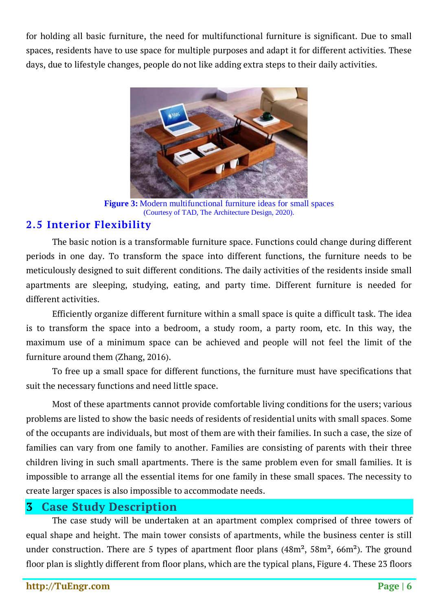for holding all basic furniture, the need for multifunctional furniture is significant. Due to small spaces, residents have to use space for multiple purposes and adapt it for different activities. These days, due to lifestyle changes, people do not like adding extra steps to their daily activities.



**Figure 3:** Modern multifunctional furniture ideas for small spaces (Courtesy of TAD, The Architecture Design, 2020).

## **2.5 Interior Flexibility**

The basic notion is a transformable furniture space. Functions could change during different periods in one day. To transform the space into different functions, the furniture needs to be meticulously designed to suit different conditions. The daily activities of the residents inside small apartments are sleeping, studying, eating, and party time. Different furniture is needed for different activities.

Efficiently organize different furniture within a small space is quite a difficult task. The idea is to transform the space into a bedroom, a study room, a party room, etc. In this way, the maximum use of a minimum space can be achieved and people will not feel the limit of the furniture around them (Zhang, 2016).

To free up a small space for different functions, the furniture must have specifications that suit the necessary functions and need little space.

Most of these apartments cannot provide comfortable living conditions for the users; various problems are listed to show the basic needs of residents of residential units with small spaces. Some of the occupants are individuals, but most of them are with their families. In such a case, the size of families can vary from one family to another. Families are consisting of parents with their three children living in such small apartments. There is the same problem even for small families. It is impossible to arrange all the essential items for one family in these small spaces. The necessity to create larger spaces is also impossible to accommodate needs.

## **3 Case Study Description**

The case study will be undertaken at an apartment complex comprised of three towers of equal shape and height. The main tower consists of apartments, while the business center is still under construction. There are 5 types of apartment floor plans  $(48m^2, 58m^2, 66m^2)$ . The ground floor plan is slightly different from floor plans, which are the typical plans, Figure 4. These 23 floors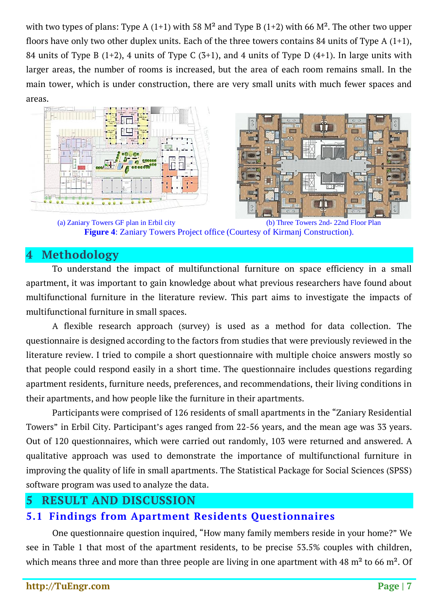with two types of plans: Type A (1+1) with 58  $M^2$  and Type B (1+2) with 66  $M^2$ . The other two upper floors have only two other duplex units. Each of the three towers contains 84 units of Type A  $(1+1)$ , 84 units of Type B  $(1+2)$ , 4 units of Type C  $(3+1)$ , and 4 units of Type D  $(4+1)$ . In large units with larger areas, the number of rooms is increased, but the area of each room remains small. In the main tower, which is under construction, there are very small units with much fewer spaces and areas.





(a) Zaniary Towers GF plan in Erbil city (b) Three Towers 2nd- 22nd Floor Plan **Figure 4**: Zaniary Towers Project office (Courtesy of Kirmanj Construction).

## **4 Methodology**

To understand the impact of multifunctional furniture on space efficiency in a small apartment, it was important to gain knowledge about what previous researchers have found about multifunctional furniture in the literature review. This part aims to investigate the impacts of multifunctional furniture in small spaces.

A flexible research approach (survey) is used as a method for data collection. The questionnaire is designed according to the factors from studies that were previously reviewed in the literature review. I tried to compile a short questionnaire with multiple choice answers mostly so that people could respond easily in a short time. The questionnaire includes questions regarding apartment residents, furniture needs, preferences, and recommendations, their living conditions in their apartments, and how people like the furniture in their apartments.

Participants were comprised of 126 residents of small apartments in the "Zaniary Residential Towers" in Erbil City. Participant's ages ranged from 22-56 years, and the mean age was 33 years. Out of 120 questionnaires, which were carried out randomly, 103 were returned and answered. A qualitative approach was used to demonstrate the importance of multifunctional furniture in improving the quality of life in small apartments. The Statistical Package for Social Sciences (SPSS) software program was used to analyze the data.

## **5 RESULT AND DISCUSSION**

## **5.1 Findings from Apartment Residents Questionnaires**

One questionnaire question inquired, "How many family members reside in your home?" We see in Table 1 that most of the apartment residents, to be precise 53.5% couples with children, which means three and more than three people are living in one apartment with 48 m<sup>2</sup> to 66 m<sup>2</sup>. Of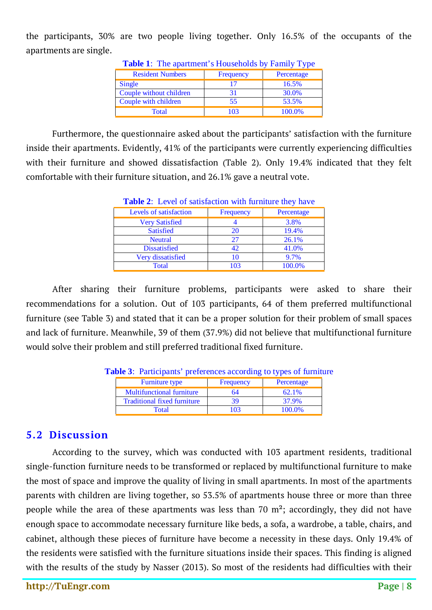the participants, 30% are two people living together. Only 16.5% of the occupants of the apartments are single.

| <b>Table 1.</b> The apartment strouseholds by Family Type |           |            |  |
|-----------------------------------------------------------|-----------|------------|--|
| <b>Resident Numbers</b>                                   | Frequency | Percentage |  |
| Single                                                    | 17        | 16.5%      |  |
| Couple without children                                   | 31        | 30.0%      |  |
| Couple with children                                      | 55        | 53.5%      |  |
| Total                                                     | 103       | 100.0%     |  |

**Table 1**: The apartment's Households by Family Type

Furthermore, the questionnaire asked about the participants' satisfaction with the furniture inside their apartments. Evidently, 41% of the participants were currently experiencing difficulties with their furniture and showed dissatisfaction (Table 2). Only 19.4% indicated that they felt comfortable with their furniture situation, and 26.1% gave a neutral vote.

| <b>Table 2:</b> Level of satisfaction with furniture they have |           |            |  |
|----------------------------------------------------------------|-----------|------------|--|
| Levels of satisfaction                                         | Frequency | Percentage |  |
| <b>Very Satisfied</b>                                          |           | 3.8%       |  |
| <b>Satisfied</b>                                               | 20        | 19.4%      |  |
| <b>Neutral</b>                                                 | 27        | 26.1%      |  |
| <b>Dissatisfied</b>                                            | 42        | 41.0%      |  |
| Very dissatisfied                                              | 10        | 9.7%       |  |
| Total                                                          | 103       | 100.0%     |  |

**Table 2**: Level of satisfaction with furniture they have

After sharing their furniture problems, participants were asked to share their recommendations for a solution. Out of 103 participants, 64 of them preferred multifunctional furniture (see Table 3) and stated that it can be a proper solution for their problem of small spaces and lack of furniture. Meanwhile, 39 of them (37.9%) did not believe that multifunctional furniture would solve their problem and still preferred traditional fixed furniture.

| <b>Furniture type</b>              | Frequency | Percentage |
|------------------------------------|-----------|------------|
| <b>Multifunctional furniture</b>   | 64        | 62.1%      |
| <b>Traditional fixed furniture</b> |           | 37.9%      |
| Total                              | 103       | 100.0%     |

## **5.2 Discussion**

According to the survey, which was conducted with 103 apartment residents, traditional single-function furniture needs to be transformed or replaced by multifunctional furniture to make the most of space and improve the quality of living in small apartments. In most of the apartments parents with children are living together, so 53.5% of apartments house three or more than three people while the area of these apartments was less than 70  $m^2$ ; accordingly, they did not have enough space to accommodate necessary furniture like beds, a sofa, a wardrobe, a table, chairs, and cabinet, although these pieces of furniture have become a necessity in these days. Only 19.4% of the residents were satisfied with the furniture situations inside their spaces. This finding is aligned with the results of the study by Nasser (2013). So most of the residents had difficulties with their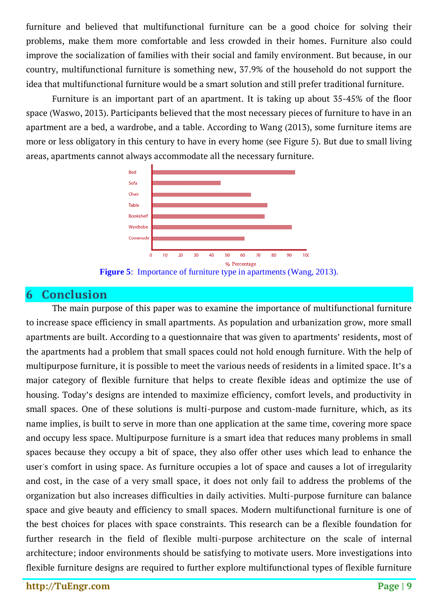furniture and believed that multifunctional furniture can be a good choice for solving their problems, make them more comfortable and less crowded in their homes. Furniture also could improve the socialization of families with their social and family environment. But because, in our country, multifunctional furniture is something new, 37.9% of the household do not support the idea that multifunctional furniture would be a smart solution and still prefer traditional furniture.

Furniture is an important part of an apartment. It is taking up about 35-45% of the floor space (Waswo, 2013). Participants believed that the most necessary pieces of furniture to have in an apartment are a bed, a wardrobe, and a table. According to Wang (2013), some furniture items are more or less obligatory in this century to have in every home (see Figure 5). But due to small living areas, apartments cannot always accommodate all the necessary furniture.



**Figure 5**: Importance of furniture type in apartments (Wang, 2013).

## **6 Conclusion**

The main purpose of this paper was to examine the importance of multifunctional furniture to increase space efficiency in small apartments. As population and urbanization grow, more small apartments are built. According to a questionnaire that was given to apartments' residents, most of the apartments had a problem that small spaces could not hold enough furniture. With the help of multipurpose furniture, it is possible to meet the various needs of residents in a limited space. It's a major category of flexible furniture that helps to create flexible ideas and optimize the use of housing. Today's designs are intended to maximize efficiency, comfort levels, and productivity in small spaces. One of these solutions is multi-purpose and custom-made furniture, which, as its name implies, is built to serve in more than one application at the same time, covering more space and occupy less space. Multipurpose furniture is a smart idea that reduces many problems in small spaces because they occupy a bit of space, they also offer other uses which lead to enhance the user's comfort in using space. As furniture occupies a lot of space and causes a lot of irregularity and cost, in the case of a very small space, it does not only fail to address the problems of the organization but also increases difficulties in daily activities. Multi-purpose furniture can balance space and give beauty and efficiency to small spaces. Modern multifunctional furniture is one of the best choices for places with space constraints. This research can be a flexible foundation for further research in the field of flexible multi-purpose architecture on the scale of internal architecture; indoor environments should be satisfying to motivate users. More investigations into flexible furniture designs are required to further explore multifunctional types of flexible furniture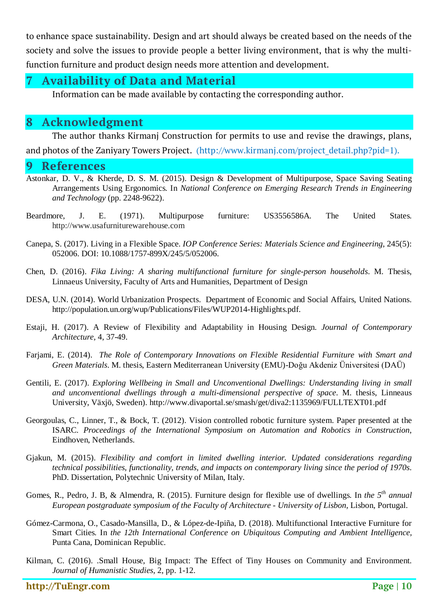to enhance space sustainability. Design and art should always be created based on the needs of the society and solve the issues to provide people a better living environment, that is why the multifunction furniture and product design needs more attention and development.

# **7 Availability of Data and Material**

Information can be made available by contacting the corresponding author.

# **8 Acknowledgment**

The author thanks Kirmanj Construction for permits to use and revise the drawings, plans, and photos of the Zaniyary Towers Project. (http://www.kirmanj.com/project\_detail.php?pid=1).

#### **9 References**

- Astonkar, D. V., & Kherde, D. S. M. (2015). Design & Development of Multipurpose, Space Saving Seating Arrangements Using Ergonomics. In *National Conference on Emerging Research Trends in Engineering and Technology* (pp. 2248-9622).
- Beardmore, J. E. (1971). Multipurpose furniture: US3556586A. The United States. http://www.usafurniturewarehouse.com
- Canepa, S. (2017). Living in a Flexible Space. *IOP Conference Series: Materials Science and Engineering*, 245(5): 052006. DOI: 10.1088/1757-899X/245/5/052006.
- Chen, D. (2016). *Fika Living: A sharing multifunctional furniture for single-person households*. M. Thesis, Linnaeus University, Faculty of Arts and Humanities, Department of Design
- DESA, U.N. (2014). World Urbanization Prospects. Department of Economic and Social Affairs, United Nations. http://population.un.org/wup/Publications/Files/WUP2014-Highlights.pdf.
- Estaji, H. (2017). A Review of Flexibility and Adaptability in Housing Design. *Journal of Contemporary Architecture,* 4, 37-49.
- Farjami, E. (2014). *The Role of Contemporary Innovations on Flexible Residential Furniture with Smart and Green Materials*. M. thesis, Eastern Mediterranean University (EMU)-Doğu Akdeniz Üniversitesi (DAÜ)
- Gentili, E. (2017). *Exploring Wellbeing in Small and Unconventional Dwellings: Understanding living in small and unconventional dwellings through a multi-dimensional perspective of space*. M. thesis, Linneaus University, Växjö, Sweden). http://www.divaportal.se/smash/get/diva2:1135969/FULLTEXT01.pdf
- Georgoulas, C., Linner, T., & Bock, T. (2012). Vision controlled robotic furniture system. Paper presented at the ISARC. *Proceedings of the International Symposium on Automation and Robotics in Construction*, Eindhoven, Netherlands.
- Gjakun, M. (2015). *Flexibility and comfort in limited dwelling interior. Updated considerations regarding technical possibilities, functionality, trends, and impacts on contemporary living since the period of 1970s*. PhD. Dissertation, Polytechnic University of Milan, Italy.
- Gomes, R., Pedro, J. B, & Almendra, R. (2015). Furniture design for flexible use of dwellings. In *the* 5<sup>th</sup> annual *European postgraduate symposium of the Faculty of Architecture - University of Lisbon,* Lisbon, Portugal.
- Gómez-Carmona, O., Casado-Mansilla, D., & López-de-Ipiña, D. (2018). Multifunctional Interactive Furniture for Smart Cities. In *the 12th International Conference on Ubiquitous Computing and Ambient Intelligence,* Punta Cana, Dominican Republic.
- Kilman, C. (2016). .Small House, Big Impact: The Effect of Tiny Houses on Community and Environment. *Journal of Humanistic Studies,* 2, pp. 1-12.